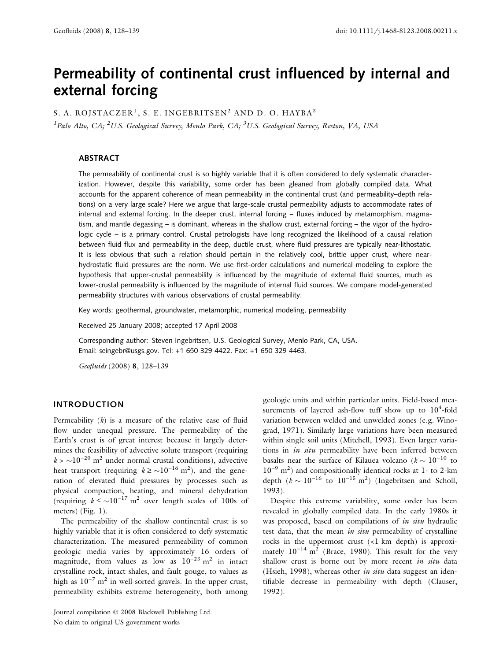# Permeability of continental crust influenced by internal and external forcing

S. A. ROJSTACZER<sup>1</sup>, S. E. INGEBRITSEN<sup>2</sup> AND D. O. HAYBA<sup>3</sup>

<sup>1</sup>Palo Alto, CA; <sup>2</sup>U.S. Geological Survey, Menlo Park, CA; <sup>3</sup>U.S. Geological Survey, Reston, VA, USA

## ABSTRACT

The permeability of continental crust is so highly variable that it is often considered to defy systematic characterization. However, despite this variability, some order has been gleaned from globally compiled data. What accounts for the apparent coherence of mean permeability in the continental crust (and permeability–depth relations) on a very large scale? Here we argue that large-scale crustal permeability adjusts to accommodate rates of internal and external forcing. In the deeper crust, internal forcing – fluxes induced by metamorphism, magmatism, and mantle degassing – is dominant, whereas in the shallow crust, external forcing – the vigor of the hydrologic cycle – is a primary control. Crustal petrologists have long recognized the likelihood of a causal relation between fluid flux and permeability in the deep, ductile crust, where fluid pressures are typically near-lithostatic. It is less obvious that such a relation should pertain in the relatively cool, brittle upper crust, where nearhydrostatic fluid pressures are the norm. We use first-order calculations and numerical modeling to explore the hypothesis that upper-crustal permeability is influenced by the magnitude of external fluid sources, much as lower-crustal permeability is influenced by the magnitude of internal fluid sources. We compare model-generated permeability structures with various observations of crustal permeability.

Key words: geothermal, groundwater, metamorphic, numerical modeling, permeability

Received 25 January 2008; accepted 17 April 2008

Corresponding author: Steven Ingebritsen, U.S. Geological Survey, Menlo Park, CA, USA. Email: seingebr@usgs.gov. Tel: +1 650 329 4422. Fax: +1 650 329 4463.

Geofluids (2008) 8, 128–139

# INTRODUCTION

Permeability  $(k)$  is a measure of the relative ease of fluid flow under unequal pressure. The permeability of the Earth's crust is of great interest because it largely determines the feasibility of advective solute transport (requiring  $k > \sim 10^{-20}$  m<sup>2</sup> under normal crustal conditions), advective heat transport (requiring  $k \ge \sim 10^{-16}$  m<sup>2</sup>), and the generation of elevated fluid pressures by processes such as physical compaction, heating, and mineral dehydration (requiring  $k \leq \sim 10^{-17}$  m<sup>2</sup> over length scales of 100s of meters) (Fig. 1).

The permeability of the shallow continental crust is so highly variable that it is often considered to defy systematic characterization. The measured permeability of common geologic media varies by approximately 16 orders of magnitude, from values as low as  $10^{-23}$  m<sup>2</sup> in intact crystalline rock, intact shales, and fault gouge, to values as high as  $10^{-7}$  m<sup>2</sup> in well-sorted gravels. In the upper crust, permeability exhibits extreme heterogeneity, both among

geologic units and within particular units. Field-based measurements of layered ash-flow tuff show up to  $10^4$ -fold variation between welded and unwelded zones (e.g. Winograd, 1971). Similarly large variations have been measured within single soil units (Mitchell, 1993). Even larger variations in *in situ* permeability have been inferred between basalts near the surface of Kilauea volcano ( $k \sim 10^{-10}$  to  $10^{-9}$  m<sup>2</sup>) and compositionally identical rocks at 1- to 2-km depth  $(k \sim 10^{-16}$  to  $10^{-15}$  m<sup>2</sup>) (Ingebritsen and Scholl, 1993).

Despite this extreme variability, some order has been revealed in globally compiled data. In the early 1980s it was proposed, based on compilations of in situ hydraulic test data, that the mean in situ permeability of crystalline rocks in the uppermost crust (<1 km depth) is approximately  $10^{-14}$  m<sup>2</sup> (Brace, 1980). This result for the very shallow crust is borne out by more recent in situ data (Hsieh, 1998), whereas other in situ data suggest an identifiable decrease in permeability with depth (Clauser, 1992).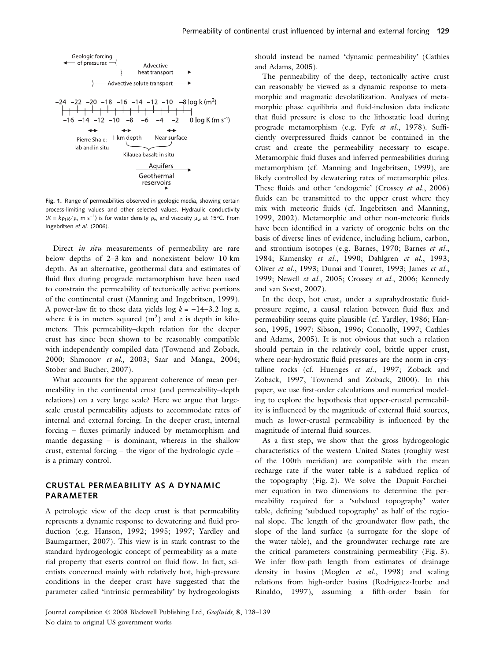

Fig. 1. Range of permeabilities observed in geologic media, showing certain process-limiting values and other selected values. Hydraulic conductivity (K =  $k\rho_f g/\mu$ , m s<sup>-1</sup>) is for water density  $\rho_w$  and viscosity  $\mu_w$  at 15°C. From Ingebritsen et al. (2006).

Direct *in situ* measurements of permeability are rare below depths of 2–3 km and nonexistent below 10 km depth. As an alternative, geothermal data and estimates of fluid flux during prograde metamorphism have been used to constrain the permeability of tectonically active portions of the continental crust (Manning and Ingebritsen, 1999). A power-law fit to these data yields  $\log k = -14-3.2 \log z$ , where k is in meters squared  $(m^2)$  and z is depth in kilometers. This permeability–depth relation for the deeper crust has since been shown to be reasonably compatible with independently compiled data (Townend and Zoback, 2000; Shmonov et al., 2003; Saar and Manga, 2004; Stober and Bucher, 2007).

What accounts for the apparent coherence of mean permeability in the continental crust (and permeability–depth relations) on a very large scale? Here we argue that largescale crustal permeability adjusts to accommodate rates of internal and external forcing. In the deeper crust, internal forcing – fluxes primarily induced by metamorphism and mantle degassing – is dominant, whereas in the shallow crust, external forcing – the vigor of the hydrologic cycle – is a primary control.

# CRUSTAL PERMEABILITY AS A DYNAMIC PARAMETER

A petrologic view of the deep crust is that permeability represents a dynamic response to dewatering and fluid production (e.g. Hanson, 1992; 1995; 1997; Yardley and Baumgartner, 2007). This view is in stark contrast to the standard hydrogeologic concept of permeability as a material property that exerts control on fluid flow. In fact, scientists concerned mainly with relatively hot, high-pressure conditions in the deeper crust have suggested that the parameter called 'intrinsic permeability' by hydrogeologists should instead be named 'dynamic permeability' (Cathles and Adams, 2005).

The permeability of the deep, tectonically active crust can reasonably be viewed as a dynamic response to metamorphic and magmatic devolatilization. Analyses of metamorphic phase equilibria and fluid-inclusion data indicate that fluid pressure is close to the lithostatic load during prograde metamorphism (e.g. Fyfe et al., 1978). Sufficiently overpressured fluids cannot be contained in the crust and create the permeability necessary to escape. Metamorphic fluid fluxes and inferred permeabilities during metamorphism (cf. Manning and Ingebritsen, 1999), are likely controlled by dewatering rates of metamorphic piles. These fluids and other 'endogenic' (Crossey et al., 2006) fluids can be transmitted to the upper crust where they mix with meteoric fluids (cf. Ingebritsen and Manning, 1999, 2002). Metamorphic and other non-meteoric fluids have been identified in a variety of orogenic belts on the basis of diverse lines of evidence, including helium, carbon, and strontium isotopes (e.g. Barnes, 1970; Barnes et al., 1984; Kamensky et al., 1990; Dahlgren et al., 1993; Oliver et al., 1993; Dunai and Touret, 1993; James et al., 1999; Newell et al., 2005; Crossey et al., 2006; Kennedy and van Soest, 2007).

In the deep, hot crust, under a suprahydrostatic fluidpressure regime, a causal relation between fluid flux and permeability seems quite plausible (cf. Yardley, 1986; Hanson, 1995, 1997; Sibson, 1996; Connolly, 1997; Cathles and Adams, 2005). It is not obvious that such a relation should pertain in the relatively cool, brittle upper crust, where near-hydrostatic fluid pressures are the norm in crystalline rocks (cf. Huenges et al., 1997; Zoback and Zoback, 1997, Townend and Zoback, 2000). In this paper, we use first-order calculations and numerical modeling to explore the hypothesis that upper-crustal permeability is influenced by the magnitude of external fluid sources, much as lower-crustal permeability is influenced by the magnitude of internal fluid sources.

As a first step, we show that the gross hydrogeologic characteristics of the western United States (roughly west of the 100th meridian) are compatible with the mean recharge rate if the water table is a subdued replica of the topography (Fig. 2). We solve the Dupuit-Forcheimer equation in two dimensions to determine the permeability required for a 'subdued topography' water table, defining 'subdued topography' as half of the regional slope. The length of the groundwater flow path, the slope of the land surface (a surrogate for the slope of the water table), and the groundwater recharge rate are the critical parameters constraining permeability (Fig. 3). We infer flow-path length from estimates of drainage density in basins (Moglen et al., 1998) and scaling relations from high-order basins (Rodriguez-Iturbe and Rinaldo, 1997), assuming a fifth-order basin for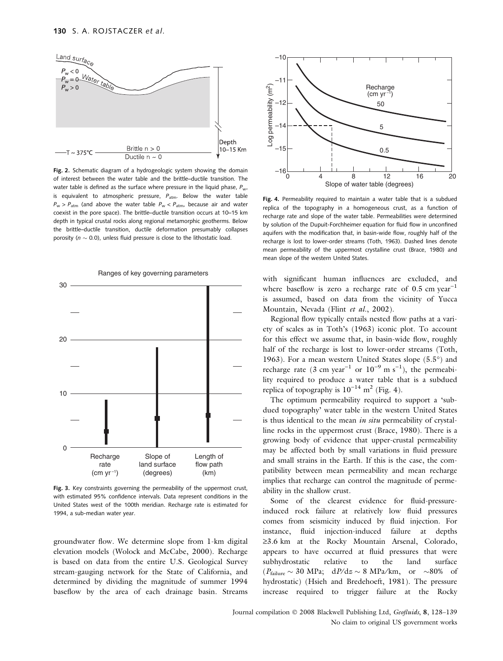

Fig. 2. Schematic diagram of a hydrogeologic system showing the domain of interest between the water table and the brittle–ductile transition. The water table is defined as the surface where pressure in the liquid phase,  $P_{\text{w}}$ , is equivalent to atmospheric pressure,  $P_{\text{atm}}$ . Below the water table  $P_w > P_{\text{atm}}$  (and above the water table  $P_w < P_{\text{atm}}$ , because air and water coexist in the pore space). The brittle–ductile transition occurs at 10–15 km depth in typical crustal rocks along regional metamorphic geotherms. Below the brittle–ductile transition, ductile deformation presumably collapses porosity ( $n\sim$  0.0), unless fluid pressure is close to the lithostatic load.



Ranges of key governing parameters

Fig. 3. Key constraints governing the permeability of the uppermost crust, with estimated 95% confidence intervals. Data represent conditions in the United States west of the 100th meridian. Recharge rate is estimated for 1994, a sub-median water year.

groundwater flow. We determine slope from 1-km digital elevation models (Wolock and McCabe, 2000). Recharge is based on data from the entire U.S. Geological Survey stream-gauging network for the State of California, and determined by dividing the magnitude of summer 1994 baseflow by the area of each drainage basin. Streams



Fig. 4. Permeability required to maintain a water table that is a subdued replica of the topography in a homogeneous crust, as a function of recharge rate and slope of the water table. Permeabilities were determined by solution of the Dupuit-Forchheimer equation for fluid flow in unconfined aquifers with the modification that, in basin-wide flow, roughly half of the recharge is lost to lower-order streams (Toth, 1963). Dashed lines denote mean permeability of the uppermost crystalline crust (Brace, 1980) and mean slope of the western United States.

with significant human influences are excluded, and where baseflow is zero a recharge rate of  $0.5$  cm year<sup>-1</sup> is assumed, based on data from the vicinity of Yucca Mountain, Nevada (Flint et al., 2002).

Regional flow typically entails nested flow paths at a variety of scales as in Toth's (1963) iconic plot. To account for this effect we assume that, in basin-wide flow, roughly half of the recharge is lost to lower-order streams (Toth, 1963). For a mean western United States slope  $(5.5^{\circ})$  and recharge rate (3 cm year<sup>-1</sup> or  $10^{-9}$  m s<sup>-1</sup>), the permeability required to produce a water table that is a subdued replica of topography is  $10^{-14}$  m<sup>2</sup> (Fig. 4).

The optimum permeability required to support a 'subdued topography' water table in the western United States is thus identical to the mean *in situ* permeability of crystalline rocks in the uppermost crust (Brace, 1980). There is a growing body of evidence that upper-crustal permeability may be affected both by small variations in fluid pressure and small strains in the Earth. If this is the case, the compatibility between mean permeability and mean recharge implies that recharge can control the magnitude of permeability in the shallow crust.

Some of the clearest evidence for fluid-pressureinduced rock failure at relatively low fluid pressures comes from seismicity induced by fluid injection. For instance, fluid injection-induced failure at depths ≥3.6 km at the Rocky Mountain Arsenal, Colorado, appears to have occurred at fluid pressures that were subhydrostatic relative to the land surface  $(P_{\text{failure}} \sim 30 \text{ MPa}; \text{ d}P/\text{dz} \sim 8 \text{ MPa/km}, \text{ or } \sim$  $\sim80\%$  of hydrostatic) (Hsieh and Bredehoeft, 1981). The pressure increase required to trigger failure at the Rocky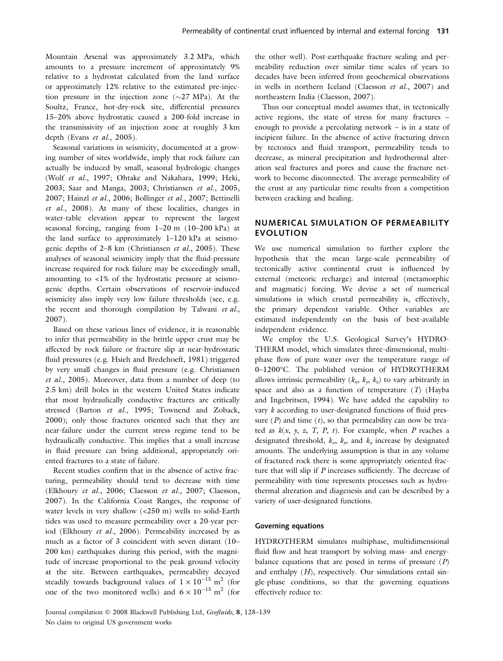Mountain Arsenal was approximately 3.2 MPa, which amounts to a pressure increment of approximately 9% relative to a hydrostat calculated from the land surface or approximately 12% relative to the estimated pre-injection pressure in the injection zone  $(\sim]27 \text{ MPa})$ . At the Soultz, France, hot-dry-rock site, differential pressures 15–20% above hydrostatic caused a 200-fold increase in the transmissivity of an injection zone at roughly 3 km depth (Evans et al., 2005).

Seasonal variations in seismicity, documented at a growing number of sites worldwide, imply that rock failure can actually be induced by small, seasonal hydrologic changes (Wolf et al., 1997; Ohtake and Nakahara, 1999; Heki, 2003; Saar and Manga, 2003; Christiansen et al., 2005, 2007; Hainzl et al., 2006; Bollinger et al., 2007; Bettinelli et al., 2008). At many of these localities, changes in water-table elevation appear to represent the largest seasonal forcing, ranging from 1–20 m (10–200 kPa) at the land surface to approximately 1–120 kPa at seismogenic depths of  $2-8$  km (Christiansen *et al.*, 2005). These analyses of seasonal seismicity imply that the fluid-pressure increase required for rock failure may be exceedingly small, amounting to <1% of the hydrostatic pressure at seismogenic depths. Certain observations of reservoir-induced seismicity also imply very low failure thresholds (see, e.g. the recent and thorough compilation by Talwani et al., 2007).

Based on these various lines of evidence, it is reasonable to infer that permeability in the brittle upper crust may be affected by rock failure or fracture slip at near-hydrostatic fluid pressures (e.g. Hsieh and Bredehoeft, 1981) triggered by very small changes in fluid pressure (e.g. Christiansen et al., 2005). Moreover, data from a number of deep (to 2.5 km) drill holes in the western United States indicate that most hydraulically conductive fractures are critically stressed (Barton et al., 1995; Townend and Zoback, 2000); only those fractures oriented such that they are near-failure under the current stress regime tend to be hydraulically conductive. This implies that a small increase in fluid pressure can bring additional, appropriately oriented fractures to a state of failure.

Recent studies confirm that in the absence of active fracturing, permeability should tend to decrease with time (Elkhoury et al., 2006; Claesson et al., 2007; Claesson, 2007). In the California Coast Ranges, the response of water levels in very shallow (<250 m) wells to solid-Earth tides was used to measure permeability over a 20-year period (Elkhoury et al., 2006). Permeability increased by as much as a factor of 3 coincident with seven distant (10– 200 km) earthquakes during this period, with the magnitude of increase proportional to the peak ground velocity at the site. Between earthquakes, permeability decayed steadily towards background values of  $1 \times 10^{-15}$  m<sup>2</sup> (for one of the two monitored wells) and  $6 \times 10^{-15}$  m<sup>2</sup> (for the other well). Post-earthquake fracture sealing and permeability reduction over similar time scales of years to decades have been inferred from geochemical observations in wells in northern Iceland (Claesson et al., 2007) and northeastern India (Claesson, 2007).

Thus our conceptual model assumes that, in tectonically active regions, the state of stress for many fractures – enough to provide a percolating network – is in a state of incipient failure. In the absence of active fracturing driven by tectonics and fluid transport, permeability tends to decrease, as mineral precipitation and hydrothermal alteration seal fractures and pores and cause the fracture network to become disconnected. The average permeability of the crust at any particular time results from a competition between cracking and healing.

# NUMERICAL SIMULATION OF PERMEABILITY EVOLUTION

We use numerical simulation to further explore the hypothesis that the mean large-scale permeability of tectonically active continental crust is influenced by external (meteoric recharge) and internal (metamorphic and magmatic) forcing. We devise a set of numerical simulations in which crustal permeability is, effectively, the primary dependent variable. Other variables are estimated independently on the basis of best-available independent evidence.

We employ the U.S. Geological Survey's HYDRO-THERM model, which simulates three-dimensional, multiphase flow of pure water over the temperature range of 0–1200°C. The published version of HYDROTHERM allows intrinsic permeability  $(k_x, k_y, k_z)$  to vary arbitrarily in space and also as a function of temperature  $(T)$  (Hayba and Ingebritsen, 1994). We have added the capability to vary k according to user-designated functions of fluid pressure  $(P)$  and time  $(t)$ , so that permeability can now be treated as  $k(x, y, z, T, P, t)$ . For example, when P reaches a designated threshold,  $k_x$ ,  $k_y$ , and  $k_z$  increase by designated amounts. The underlying assumption is that in any volume of fractured rock there is some appropriately oriented fracture that will slip if P increases sufficiently. The decrease of permeability with time represents processes such as hydrothermal alteration and diagenesis and can be described by a variety of user-designated functions.

#### Governing equations

HYDROTHERM simulates multiphase, multidimensional fluid flow and heat transport by solving mass- and energybalance equations that are posed in terms of pressure  $(P)$ and enthalpy  $(H)$ , respectively. Our simulations entail single-phase conditions, so that the governing equations effectively reduce to: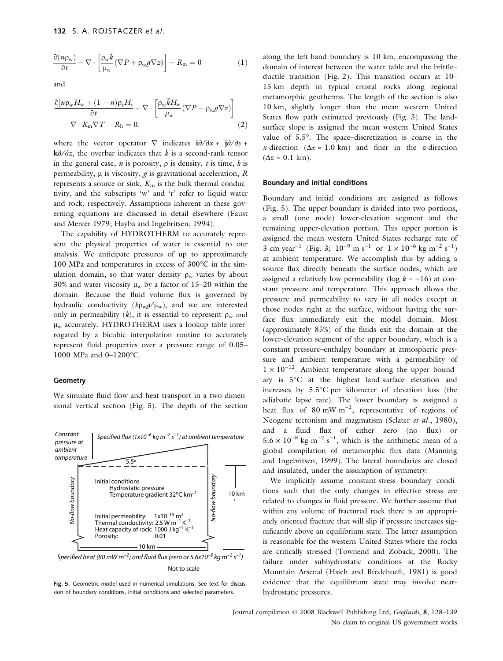$$
\frac{\partial (n\rho_{\rm w})}{\partial t} - \nabla \cdot \left[ \frac{\rho_{\rm w} \bar{k}}{\mu_{\rm w}} (\nabla P + \rho_{\rm w} g \nabla z) \right] - R_{\rm m} = 0 \tag{1}
$$

and

$$
\frac{\partial [n\rho_w H_w + (1 - n)\rho_r H_r}{\partial t} - \nabla \cdot \left[ \frac{\rho_w \bar{k} H_w}{\mu_w} (\nabla P + \rho_w g \nabla z) \right] - \nabla \cdot K_m \nabla T - R_h = 0,
$$
\n(2)

where the vector operator  $\nabla$  indicates  $i\partial/\partial x + i\partial/\partial y + j\partial/\partial y$ k $\partial/\partial z$ , the overbar indicates that  $\bar{k}$  is a second-rank tensor in the general case, *n* is porosity,  $\rho$  is density, *t* is time, *k* is permeability,  $\mu$  is viscosity,  $\beta$  is gravitational acceleration,  $R$ represents a source or sink,  $K<sub>m</sub>$  is the bulk thermal conductivity, and the subscripts 'w' and 'r' refer to liquid water and rock, respectively. Assumptions inherent in these governing equations are discussed in detail elsewhere (Faust and Mercer 1979; Hayba and Ingebritsen, 1994).

The capability of HYDROTHERM to accurately represent the physical properties of water is essential to our analysis. We anticipate pressures of up to approximately 100 MPa and temperatures in excess of  $300^{\circ}$ C in the simulation domain, so that water density  $\rho_w$  varies by about 30% and water viscosity  $\mu_w$  by a factor of 15–20 within the domain. Because the fluid volume flux is governed by hydraulic conductivity ( $k\rho_w g/\mu_w$ ), and we are interested only in permeability  $(k)$ , it is essential to represent  $\rho_w$  and  $\mu_{\rm w}$  accurately. HYDROTHERM uses a lookup table interrogated by a bicubic interpolation routine to accurately represent fluid properties over a pressure range of 0.05– 1000 MPa and 0-1200°C.

#### **Geometry**

We simulate fluid flow and heat transport in a two-dimensional vertical section (Fig. 5). The depth of the section



Not to scale



along the left-hand boundary is 10 km, encompassing the domain of interest between the water table and the brittle– ductile transition (Fig. 2). This transition occurs at 10– 15 km depth in typical crustal rocks along regional metamorphic geotherms. The length of the section is also 10 km, slightly longer than the mean western United States flow path estimated previously (Fig. 3). The landsurface slope is assigned the mean western United States value of 5.5°. The space-discretization is coarse in the x-direction ( $\Delta x = 1.0$  km) and finer in the z-direction  $(\Delta z = 0.1$  km).

#### Boundary and initial conditions

Boundary and initial conditions are assigned as follows (Fig. 5). The upper boundary is divided into two portions, a small (one node) lower-elevation segment and the remaining upper-elevation portion. This upper portion is assigned the mean western United States recharge rate of 3 cm year<sup>-1</sup> (Fig. 3;  $10^{-9}$  m s<sup>-1</sup> or  $1 \times 10^{-6}$  kg m<sup>-2</sup> s<sup>-1</sup>) at ambient temperature. We accomplish this by adding a source flux directly beneath the surface nodes, which are assigned a relatively low permeability (log  $k = -16$ ) at constant pressure and temperature. This approach allows the pressure and permeability to vary in all nodes except at those nodes right at the surface, without having the surface flux immediately exit the model domain. Most (approximately 85%) of the fluids exit the domain at the lower-elevation segment of the upper boundary, which is a constant pressure–enthalpy boundary at atmospheric pressure and ambient temperature with a permeability of  $1 \times 10^{-12}$ . Ambient temperature along the upper boundary is 5°C at the highest land-surface elevation and increases by 5.5°C per kilometer of elevation loss (the adiabatic lapse rate). The lower boundary is assigned a heat flux of 80 mW  $m^{-2}$ , representative of regions of Neogene tectonism and magmatism (Sclater et al., 1980), and a fluid flux of either zero (no flux) or  $5.6 \times 10^{-8}$  kg m<sup>-2</sup> s<sup>-1</sup>, which is the arithmetic mean of a global compilation of metamorphic flux data (Manning and Ingebritsen, 1999). The lateral boundaries are closed and insulated, under the assumption of symmetry.

We implicitly assume constant-stress boundary conditions such that the only changes in effective stress are related to changes in fluid pressure. We further assume that within any volume of fractured rock there is an appropriately oriented fracture that will slip if pressure increases significantly above an equilibrium state. The latter assumption is reasonable for the western United States where the rocks are critically stressed (Townend and Zoback, 2000). The failure under subhydrostatic conditions at the Rocky Mountain Arsenal (Hsieh and Bredehoeft, 1981) is good evidence that the equilibrium state may involve nearhydrostatic pressures.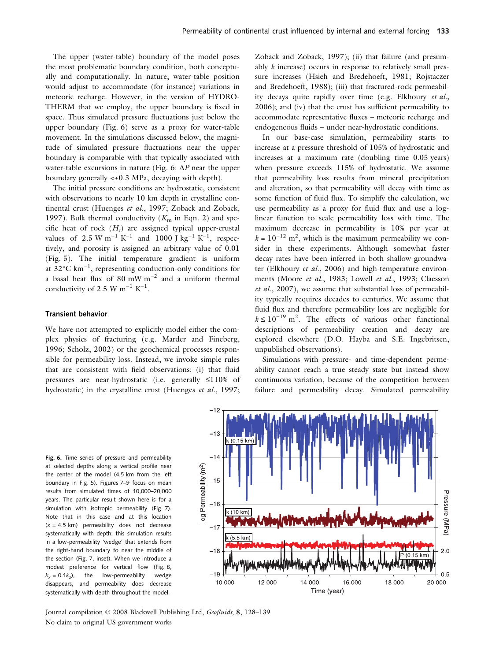The upper (water-table) boundary of the model poses the most problematic boundary condition, both conceptually and computationally. In nature, water-table position would adjust to accommodate (for instance) variations in meteoric recharge. However, in the version of HYDRO-THERM that we employ, the upper boundary is fixed in space. Thus simulated pressure fluctuations just below the upper boundary (Fig. 6) serve as a proxy for water-table movement. In the simulations discussed below, the magnitude of simulated pressure fluctuations near the upper boundary is comparable with that typically associated with water-table excursions in nature (Fig. 6:  $\Delta P$  near the upper boundary generally  $\leq \pm 0.3$  MPa, decaying with depth).

The initial pressure conditions are hydrostatic, consistent with observations to nearly 10 km depth in crystalline continental crust (Huenges et al., 1997; Zoback and Zoback, 1997). Bulk thermal conductivity  $(K<sub>m</sub>$  in Eqn. 2) and specific heat of rock  $(H_r)$  are assigned typical upper-crustal values of 2.5 W m<sup>-1</sup> K<sup>-1</sup> and 1000 J kg<sup>-1</sup> K<sup>-1</sup>, respectively, and porosity is assigned an arbitrary value of 0.01 (Fig. 5). The initial temperature gradient is uniform at  $32^{\circ}$ C km<sup>-1</sup>, representing conduction-only conditions for a basal heat flux of  $80$  mW m<sup>-2</sup> and a uniform thermal conductivity of 2.5 W  $m^{-1}$  K<sup>-1</sup>.

### Transient behavior

We have not attempted to explicitly model either the complex physics of fracturing (e.g. Marder and Fineberg, 1996; Scholz, 2002) or the geochemical processes responsible for permeability loss. Instead, we invoke simple rules that are consistent with field observations: (i) that fluid pressures are near-hydrostatic (i.e. generally £110% of hydrostatic) in the crystalline crust (Huenges et al., 1997; Zoback and Zoback, 1997); (ii) that failure (and presumably k increase) occurs in response to relatively small pressure increases (Hsieh and Bredehoeft, 1981; Rojstaczer and Bredehoeft, 1988); (iii) that fractured-rock permeability decays quite rapidly over time (e.g. Elkhoury et al., 2006); and (iv) that the crust has sufficient permeability to accommodate representative fluxes – meteoric recharge and endogeneous fluids – under near-hydrostatic conditions.

In our base-case simulation, permeability starts to increase at a pressure threshold of 105% of hydrostatic and increases at a maximum rate (doubling time 0.05 years) when pressure exceeds 115% of hydrostatic. We assume that permeability loss results from mineral precipitation and alteration, so that permeability will decay with time as some function of fluid flux. To simplify the calculation, we use permeability as a proxy for fluid flux and use a loglinear function to scale permeability loss with time. The maximum decrease in permeability is 10% per year at  $k = 10^{-12}$  m<sup>2</sup>, which is the maximum permeability we consider in these experiments. Although somewhat faster decay rates have been inferred in both shallow-groundwater (Elkhoury et al., 2006) and high-temperature environments (Moore et al., 1983; Lowell et al., 1993; Claesson et al., 2007), we assume that substantial loss of permeability typically requires decades to centuries. We assume that fluid flux and therefore permeability loss are negligible for  $k \leq 10^{-19}$  m<sup>2</sup>. The effects of various other functional descriptions of permeability creation and decay are explored elsewhere (D.O. Hayba and S.E. Ingebritsen, unpublished observations).

Simulations with pressure- and time-dependent permeability cannot reach a true steady state but instead show continuous variation, because of the competition between failure and permeability decay. Simulated permeability

Fig. 6. Time series of pressure and permeability at selected depths along a vertical profile near the center of the model (4.5 km from the left boundary in Fig. 5). Figures 7–9 focus on mean results from simulated times of 10,000–20,000 years. The particular result shown here is for a simulation with isotropic permeability (Fig. 7). Note that in this case and at this location  $(x = 4.5$  km) permeability does not decrease systematically with depth; this simulation results in a low-permeability 'wedge' that extends from the right-hand boundary to near the middle of the section (Fig. 7, inset). When we introduce a modest preference for vertical flow (Fig. 8,  $k_x = 0.1k_z$ , the low-permeability wedge disappears, and permeability does decrease systematically with depth throughout the model.



Journal compilation © 2008 Blackwell Publishing Ltd, Geofluids, 8, 128-139 No claim to original US government works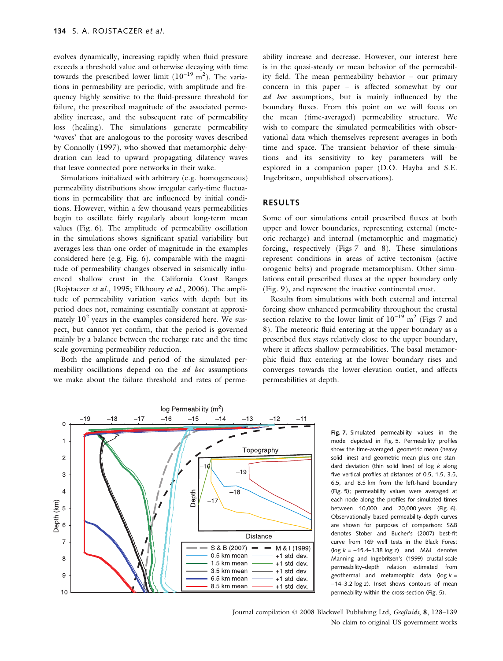evolves dynamically, increasing rapidly when fluid pressure exceeds a threshold value and otherwise decaying with time towards the prescribed lower limit  $(10^{-19} \text{ m}^2)$ . The variations in permeability are periodic, with amplitude and frequency highly sensitive to the fluid-pressure threshold for failure, the prescribed magnitude of the associated permeability increase, and the subsequent rate of permeability loss (healing). The simulations generate permeability 'waves' that are analogous to the porosity waves described by Connolly (1997), who showed that metamorphic dehydration can lead to upward propagating dilatency waves that leave connected pore networks in their wake.

Simulations initialized with arbitrary (e.g. homogeneous) permeability distributions show irregular early-time fluctuations in permeability that are influenced by initial conditions. However, within a few thousand years permeabilities begin to oscillate fairly regularly about long-term mean values (Fig. 6). The amplitude of permeability oscillation in the simulations shows significant spatial variability but averages less than one order of magnitude in the examples considered here (e.g. Fig. 6), comparable with the magnitude of permeability changes observed in seismically influenced shallow crust in the California Coast Ranges (Rojstaczer et al., 1995; Elkhoury et al., 2006). The amplitude of permeability variation varies with depth but its period does not, remaining essentially constant at approximately  $10^2$  years in the examples considered here. We suspect, but cannot yet confirm, that the period is governed mainly by a balance between the recharge rate and the time scale governing permeability reduction.

Both the amplitude and period of the simulated permeability oscillations depend on the *ad hoc* assumptions we make about the failure threshold and rates of permeability increase and decrease. However, our interest here is in the quasi-steady or mean behavior of the permeability field. The mean permeability behavior – our primary concern in this paper – is affected somewhat by our ad hoc assumptions, but is mainly influenced by the boundary fluxes. From this point on we will focus on the mean (time-averaged) permeability structure. We wish to compare the simulated permeabilities with observational data which themselves represent averages in both time and space. The transient behavior of these simulations and its sensitivity to key parameters will be explored in a companion paper (D.O. Hayba and S.E. Ingebritsen, unpublished observations).

# RESULTS

Some of our simulations entail prescribed fluxes at both upper and lower boundaries, representing external (meteoric recharge) and internal (metamorphic and magmatic) forcing, respectively (Figs 7 and 8). These simulations represent conditions in areas of active tectonism (active orogenic belts) and prograde metamorphism. Other simulations entail prescribed fluxes at the upper boundary only (Fig. 9), and represent the inactive continental crust.

Results from simulations with both external and internal forcing show enhanced permeability throughout the crustal section relative to the lower limit of  $10^{-19}$  m<sup>2</sup> (Figs 7 and 8). The meteoric fluid entering at the upper boundary as a prescribed flux stays relatively close to the upper boundary, where it affects shallow permeabilities. The basal metamorphic fluid flux entering at the lower boundary rises and converges towards the lower-elevation outlet, and affects permeabilities at depth.



Fig. 7. Simulated permeability values in the model depicted in Fig. 5. Permeability profiles show the time-averaged, geometric mean (heavy solid lines) and geometric mean plus one standard deviation (thin solid lines) of log  $k$  along five vertical profiles at distances of 0.5, 1.5, 3.5, 6.5, and 8.5 km from the left-hand boundary (Fig. 5); permeability values were averaged at each node along the profiles for simulated times between 10,000 and 20,000 years (Fig. 6). Observationally based permeability-depth curves are shown for purposes of comparison: S&B denotes Stober and Bucher's (2007) best-fit curve from 169 well tests in the Black Forest ( $log k = -15.4-1.38 log z$ ) and M&I denotes Manning and Ingebritsen's (1999) crustal-scale permeability–depth relation estimated from geothermal and metamorphic data ( $log k =$ -14-3.2 log z). Inset shows contours of mean permeability within the cross-section (Fig. 5).

Journal compilation © 2008 Blackwell Publishing Ltd, Geofluids, 8, 128-139 No claim to original US government works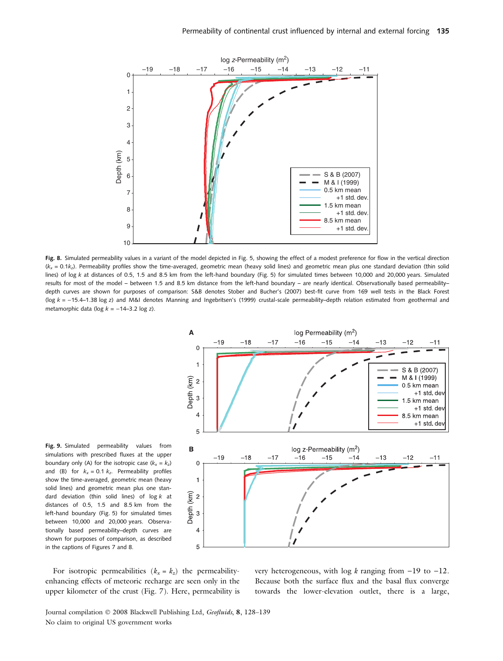

Fig. 8. Simulated permeability values in a variant of the model depicted in Fig. 5, showing the effect of a modest preference for flow in the vertical direction  $(k_x = 0.1k_z)$ . Permeability profiles show the time-averaged, geometric mean (heavy solid lines) and geometric mean plus one standard deviation (thin solid lines) of log k at distances of 0.5, 1.5 and 8.5 km from the left-hand boundary (Fig. 5) for simulated times between 10,000 and 20,000 years. Simulated results for most of the model – between 1.5 and 8.5 km distance from the left-hand boundary – are nearly identical. Observationally based permeabilitydepth curves are shown for purposes of comparison: S&B denotes Stober and Bucher's (2007) best-fit curve from 169 well tests in the Black Forest ( $log k = -15.4-1.38 log z$ ) and M&I denotes Manning and Ingebritsen's (1999) crustal-scale permeability–depth relation estimated from geothermal and metamorphic data ( $log k = -14-3.2 log z$ ).



Fig. 9. Simulated permeability values from simulations with prescribed fluxes at the upper boundary only (A) for the isotropic case  $(k_x = k_z)$ and (B) for  $k_x = 0.1 k_z$ . Permeability profiles show the time-averaged, geometric mean (heavy solid lines) and geometric mean plus one standard deviation (thin solid lines) of  $log k$  at distances of 0.5, 1.5 and 8.5 km from the left-hand boundary (Fig. 5) for simulated times between 10,000 and 20,000 years. Observationally based permeability–depth curves are shown for purposes of comparison, as described in the captions of Figures 7 and 8.

For isotropic permeabilities  $(k_x = k_z)$  the permeabilityenhancing effects of meteoric recharge are seen only in the upper kilometer of the crust (Fig. 7). Here, permeability is

very heterogeneous, with log  $k$  ranging from  $-19$  to  $-12$ . Because both the surface flux and the basal flux converge towards the lower-elevation outlet, there is a large,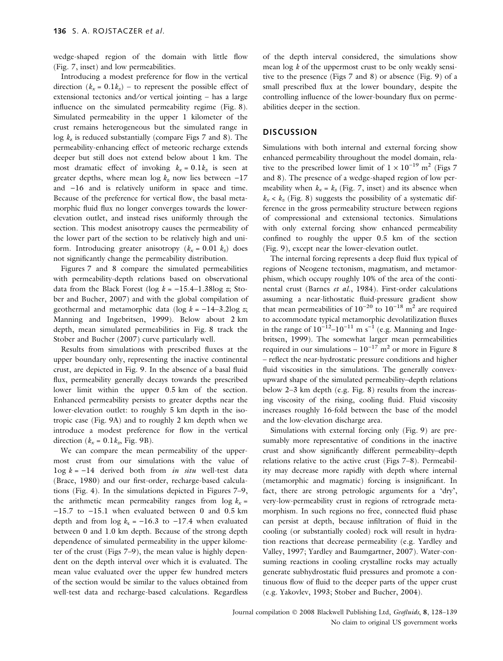wedge-shaped region of the domain with little flow (Fig. 7, inset) and low permeabilities.

Introducing a modest preference for flow in the vertical direction ( $k_x = 0.1k_z$ ) – to represent the possible effect of extensional tectonics and/or vertical jointing – has a large influence on the simulated permeability regime (Fig. 8). Simulated permeability in the upper 1 kilometer of the crust remains heterogeneous but the simulated range in  $\log k_z$  is reduced substantially (compare Figs 7 and 8). The permeability-enhancing effect of meteoric recharge extends deeper but still does not extend below about 1 km. The most dramatic effect of invoking  $k_x = 0.1k_z$  is seen at greater depths, where mean log  $k_z$  now lies between -17 and  $-16$  and is relatively uniform in space and time. Because of the preference for vertical flow, the basal metamorphic fluid flux no longer converges towards the lowerelevation outlet, and instead rises uniformly through the section. This modest anisotropy causes the permeability of the lower part of the section to be relatively high and uniform. Introducing greater anisotropy ( $k_x = 0.01$   $k_z$ ) does not significantly change the permeability distribution.

Figures 7 and 8 compare the simulated permeabilities with permeability-depth relations based on observational data from the Black Forest (log  $k = -15.4-1.38\log z$ ; Stober and Bucher, 2007) and with the global compilation of geothermal and metamorphic data (log  $k = -14-3.2$ log z; Manning and Ingebritsen, 1999). Below about 2 km depth, mean simulated permeabilities in Fig. 8 track the Stober and Bucher (2007) curve particularly well.

Results from simulations with prescribed fluxes at the upper boundary only, representing the inactive continental crust, are depicted in Fig. 9. In the absence of a basal fluid flux, permeability generally decays towards the prescribed lower limit within the upper 0.5 km of the section. Enhanced permeability persists to greater depths near the lower-elevation outlet: to roughly 5 km depth in the isotropic case (Fig. 9A) and to roughly 2 km depth when we introduce a modest preference for flow in the vertical direction ( $k_x = 0.1k_z$ , Fig. 9B).

We can compare the mean permeability of the uppermost crust from our simulations with the value of  $\log k = -14$  derived both from in situ well-test data (Brace, 1980) and our first-order, recharge-based calculations (Fig. 4). In the simulations depicted in Figures 7–9, the arithmetic mean permeability ranges from  $\log k_x =$  $-15.7$  to  $-15.1$  when evaluated between 0 and 0.5 km depth and from  $\log k_x = -16.3$  to  $-17.4$  when evaluated between 0 and 1.0 km depth. Because of the strong depth dependence of simulated permeability in the upper kilometer of the crust (Figs 7–9), the mean value is highly dependent on the depth interval over which it is evaluated. The mean value evaluated over the upper few hundred meters of the section would be similar to the values obtained from well-test data and recharge-based calculations. Regardless of the depth interval considered, the simulations show mean log k of the uppermost crust to be only weakly sensitive to the presence (Figs 7 and 8) or absence (Fig. 9) of a small prescribed flux at the lower boundary, despite the controlling influence of the lower-boundary flux on permeabilities deeper in the section.

## **DISCUSSION**

Simulations with both internal and external forcing show enhanced permeability throughout the model domain, relative to the prescribed lower limit of  $1 \times 10^{-19}$  m<sup>2</sup> (Figs 7) and 8). The presence of a wedge-shaped region of low permeability when  $k_x = k_z$  (Fig. 7, inset) and its absence when  $k_x < k_z$  (Fig. 8) suggests the possibility of a systematic difference in the gross permeability structure between regions of compressional and extensional tectonics. Simulations with only external forcing show enhanced permeability confined to roughly the upper 0.5 km of the section (Fig. 9), except near the lower-elevation outlet.

The internal forcing represents a deep fluid flux typical of regions of Neogene tectonism, magmatism, and metamorphism, which occupy roughly 10% of the area of the continental crust (Barnes et al., 1984). First-order calculations assuming a near-lithostatic fluid-pressure gradient show that mean permeabilities of  $10^{-20}$  to  $10^{-18}$  m<sup>2</sup> are required to accommodate typical metamorphic devolatilization fluxes in the range of  $10^{-12}$ – $10^{-11}$  m s<sup>-1</sup> (e.g. Manning and Ingebritsen, 1999). The somewhat larger mean permeabilities required in our simulations –  $10^{-17}$  m<sup>2</sup> or more in Figure 8 – reflect the near-hydrostatic pressure conditions and higher fluid viscosities in the simulations. The generally convexupward shape of the simulated permeability–depth relations below 2–3 km depth (e.g. Fig. 8) results from the increasing viscosity of the rising, cooling fluid. Fluid viscosity increases roughly 16-fold between the base of the model and the low-elevation discharge area.

Simulations with external forcing only (Fig. 9) are presumably more representative of conditions in the inactive crust and show significantly different permeability–depth relations relative to the active crust (Figs 7–8). Permeability may decrease more rapidly with depth where internal (metamorphic and magmatic) forcing is insignificant. In fact, there are strong petrologic arguments for a 'dry', very-low-permeability crust in regions of retrograde metamorphism. In such regions no free, connected fluid phase can persist at depth, because infiltration of fluid in the cooling (or substantially cooled) rock will result in hydration reactions that decrease permeability (e.g. Yardley and Valley, 1997; Yardley and Baumgartner, 2007). Water-consuming reactions in cooling crystalline rocks may actually generate subhydrostatic fluid pressures and promote a continuous flow of fluid to the deeper parts of the upper crust (e.g. Yakovlev, 1993; Stober and Bucher, 2004).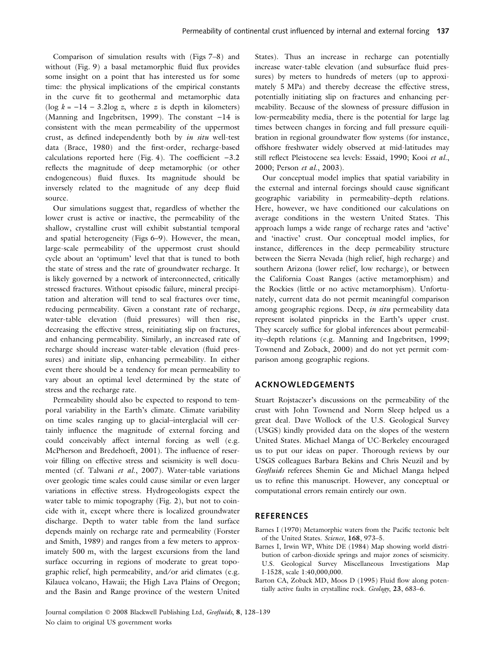Comparison of simulation results with (Figs 7–8) and without (Fig. 9) a basal metamorphic fluid flux provides some insight on a point that has interested us for some time: the physical implications of the empirical constants in the curve fit to geothermal and metamorphic data  $(\log k = -14 - 3.2\log z$ , where z is depth in kilometers) (Manning and Ingebritsen, 1999). The constant  $-14$  is consistent with the mean permeability of the uppermost crust, as defined independently both by in situ well-test data (Brace, 1980) and the first-order, recharge-based calculations reported here (Fig. 4). The coefficient  $-3.2$ reflects the magnitude of deep metamorphic (or other endogeneous) fluid fluxes. Its magnitude should be inversely related to the magnitude of any deep fluid source.

Our simulations suggest that, regardless of whether the lower crust is active or inactive, the permeability of the shallow, crystalline crust will exhibit substantial temporal and spatial heterogeneity (Figs 6–9). However, the mean, large-scale permeability of the uppermost crust should cycle about an 'optimum' level that that is tuned to both the state of stress and the rate of groundwater recharge. It is likely governed by a network of interconnected, critically stressed fractures. Without episodic failure, mineral precipitation and alteration will tend to seal fractures over time, reducing permeability. Given a constant rate of recharge, water-table elevation (fluid pressures) will then rise, decreasing the effective stress, reinitiating slip on fractures, and enhancing permeability. Similarly, an increased rate of recharge should increase water-table elevation (fluid pressures) and initiate slip, enhancing permeability. In either event there should be a tendency for mean permeability to vary about an optimal level determined by the state of stress and the recharge rate.

Permeability should also be expected to respond to temporal variability in the Earth's climate. Climate variability on time scales ranging up to glacial–interglacial will certainly influence the magnitude of external forcing and could conceivably affect internal forcing as well (e.g. McPherson and Bredehoeft, 2001). The influence of reservoir filling on effective stress and seismicity is well documented (cf. Talwani et al., 2007). Water-table variations over geologic time scales could cause similar or even larger variations in effective stress. Hydrogeologists expect the water table to mimic topography (Fig. 2), but not to coincide with it, except where there is localized groundwater discharge. Depth to water table from the land surface depends mainly on recharge rate and permeability (Forster and Smith, 1989) and ranges from a few meters to approximately 500 m, with the largest excursions from the land surface occurring in regions of moderate to great topographic relief, high permeability, and/or arid climates (e.g. Kilauea volcano, Hawaii; the High Lava Plains of Oregon; and the Basin and Range province of the western United

States). Thus an increase in recharge can potentially increase water-table elevation (and subsurface fluid pressures) by meters to hundreds of meters (up to approximately 5 MPa) and thereby decrease the effective stress, potentially initiating slip on fractures and enhancing permeability. Because of the slowness of pressure diffusion in low-permeability media, there is the potential for large lag times between changes in forcing and full pressure equilibration in regional groundwater flow systems (for instance, offshore freshwater widely observed at mid-latitudes may still reflect Pleistocene sea levels: Essaid, 1990; Kooi et al., 2000; Person et al., 2003).

Our conceptual model implies that spatial variability in the external and internal forcings should cause significant geographic variability in permeability–depth relations. Here, however, we have conditioned our calculations on average conditions in the western United States. This approach lumps a wide range of recharge rates and 'active' and 'inactive' crust. Our conceptual model implies, for instance, differences in the deep permeability structure between the Sierra Nevada (high relief, high recharge) and southern Arizona (lower relief, low recharge), or between the California Coast Ranges (active metamorphism) and the Rockies (little or no active metamorphism). Unfortunately, current data do not permit meaningful comparison among geographic regions. Deep, in situ permeability data represent isolated pinpricks in the Earth's upper crust. They scarcely suffice for global inferences about permeability–depth relations (e.g. Manning and Ingebritsen, 1999; Townend and Zoback, 2000) and do not yet permit comparison among geographic regions.

# ACKNOWLEDGEMENTS

Stuart Rojstaczer's discussions on the permeability of the crust with John Townend and Norm Sleep helped us a great deal. Dave Wollock of the U.S. Geological Survey (USGS) kindly provided data on the slopes of the western United States. Michael Manga of UC-Berkeley encouraged us to put our ideas on paper. Thorough reviews by our USGS colleagues Barbara Bekins and Chris Neuzil and by Geofluids referees Shemin Ge and Michael Manga helped us to refine this manuscript. However, any conceptual or computational errors remain entirely our own.

# **REFERENCES**

- Barnes I (1970) Metamorphic waters from the Pacific tectonic belt of the United States. Science, 168, 973–5.
- Barnes I, Irwin WP, White DE (1984) Map showing world distribution of carbon-dioxide springs and major zones of seismicity. U.S. Geological Survey Miscellaneous Investigations Map I-1528, scale 1:40,000,000.
- Barton CA, Zoback MD, Moos D (1995) Fluid flow along potentially active faults in crystalline rock. Geology, 23, 683-6.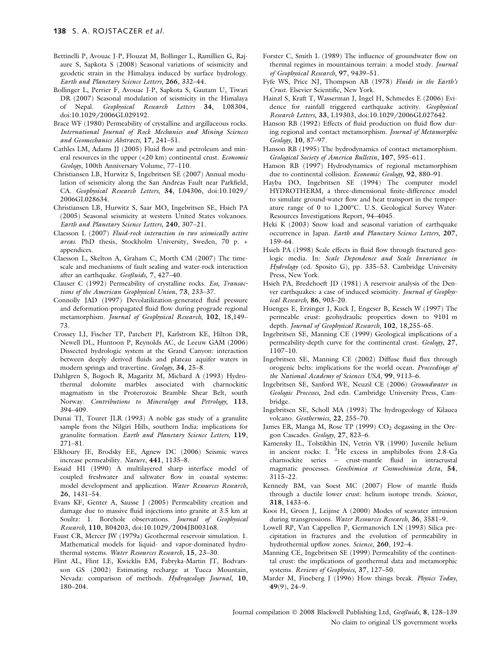- Bettinelli P, Avouac J-P, Flouzat M, Bollinger L, Ramillien G, Rajaure S, Sapkota S (2008) Seasonal variations of seismicity and geodetic strain in the Himalaya induced by surface hydrology. Earth and Planetary Science Letters, 266, 332–44.
- Bollinger L, Perrier F, Avouac J-P, Sapkota S, Gautam U, Tiwari DR (2007) Seasonal modulation of seismicity in the Himalaya of Nepal. Geophysical Research Letters 34, L08304, doi:10.1029/2006GL029192.
- Brace WF (1980) Permeability of crystalline and argillaceous rocks. International Journal of Rock Mechanics and Mining Sciences and Geomechanics Abstracts, 17, 241–51.
- Cathles LM, Adams JJ (2005) Fluid flow and petroleum and mineral resources in the upper (<20 km) continental crust. Economic Geology, 100th Anniversary Volume, 77–110.
- Christiansen LB, Hurwitz S, Ingebritsen SE (2007) Annual modulation of seismicity along the San Andreas Fault near Parkfield, CA. Geophysical Research Letters, 34, L04306, doi:10.1029/ 2006GL028634.
- Christiansen LB, Hurwitz S, Saar MO, Ingebritsen SE, Hsieh PA (2005) Seasonal seismicity at western United States volcanoes. Earth and Planetary Science Letters, 240, 307–21.
- Claesson L (2007) Fluid-rock interaction in two seismically active areas. PhD thesis, Stockholm University, Sweden, 70 p. + appendices.
- Claesson L, Skelton A, Graham C, Morth CM (2007) The timescale and mechanisms of fault sealing and water-rock interaction after an earthquake. Geofluids, 7, 427-40.
- Clauser C (1992) Permeability of crystalline rocks. Eos, Transactions of the American Geophysical Union, 73, 233–37.
- Connolly JAD (1997) Devolatilization-generated fluid pressure and deformation-propagated fluid flow during prograde regional metamorphism. Journal of Geophysical Research, 102, 18,149– 73.
- Crossey LJ, Fischer TP, Patchett PJ, Karlstrom KE, Hilton DR, Newell DL, Huntoon P, Reynolds AC, de Leeuw GAM (2006) Dissected hydrologic system at the Grand Canyon: interaction between deeply derived fluids and plateau aquifer waters in modern springs and travertine. Geology, 34, 25-8.
- Dahlgren S, Bogoch R, Magaritz M, Michard A (1993) Hydrothermal dolomite marbles associated with charnockitic magmatism in the Proterozoic Bramble Shear Belt, south Norway. Contributions to Mineralogy and Petrology, 113, 394–409.
- Dunai TJ, Touret JLR (1993) A noble gas study of a granulite sample from the Nilgiri Hills, southern India: implications for granulite formation. Earth and Planetary Science Letters, 119, 271–81.
- Elkhoury JE, Brodsky EE, Agnew DC (2006) Seismic waves increase permeability. Nature, 441, 1135–8.
- Essaid HI (1990) A multilayered sharp interface model of coupled freshwater and saltwater flow in coastal systems: model development and application. Water Resources Research, 26, 1431–54.
- Evans KF, Genter A, Sausse J (2005) Permeability creation and damage due to massive fluid injections into granite at 3.5 km at Soultz: 1. Borehole observations. Journal of Geophysical Research, 110, B04203, doi:10.1029/2004JB003168.
- Faust CR, Mercer JW (1979a) Geothermal reservoir simulation. 1. Mathematical models for liquid- and vapor-dominated hydrothermal systems. Water Resources Research, 15, 23–30.
- Flint AL, Flint LE, Kwicklis EM, Fabryka-Martin JT, Bodvarsson GS (2002) Estimating recharge at Yucca Mountain, Nevada: comparison of methods. Hydrogeology Journal, 10, 180–204.
- Forster C, Smith L (1989) The influence of groundwater flow on thermal regimes in mountainous terrain: a model study. *Journal* of Geophysical Research, 97, 9439–51.
- Fyfe WS, Price NJ, Thompson AB (1978) Fluids in the Earth's Crust. Elsevier Scientific, New York.
- Hainzl S, Kraft T, Wasserman J, Ingel H, Schmedes E (2006) Evidence for rainfall triggered earthquake activity. Geophysical Research Letters, 33, L19303, doi:10.1029/2006GL027642.
- Hanson RB (1992) Effects of fluid production on fluid flow during regional and contact metamorphism. Journal of Metamorphic Geology, 10, 87–97.
- Hanson RB (1995) The hydrodynamics of contact metamorphism. Geological Society of America Bulletin, 107, 595–611.
- Hanson RB (1997) Hydrodynamics of regional metamorphism due to continental collision. Economic Geology, 92, 880–91.
- Hayba DO, Ingebritsen SE (1994) The computer model HYDROTHERM, a three-dimensional finite-difference model to simulate ground-water flow and heat transport in the temperature range of 0 to 1,200°C. U.S. Geological Survey Water-Resources Investigations Report, 94–4045.
- Heki K (2003) Snow load and seasonal variation of earthquake occurrence in Japan. Earth and Planetary Science Letters, 207, 159–64.
- Hsieh PA (1998) Scale effects in fluid flow through fractured geologic media. In: Scale Dependence and Scale Invariance in Hydrology (ed. Sposito G), pp. 335–53. Cambridge University Press, New York.
- Hsieh PA, Bredehoeft JD (1981) A reservoir analysis of the Denver earthquakes: a case of induced seismicity. Journal of Geophysical Research, 86, 903–20.
- Huenges E, Erzinger J, Kuck J, Engeser B, Kessels W (1997) The permeable crust: geohydraulic properties down to 9101 m depth. Journal of Geophysical Research, 102, 18,255-65.
- Ingebritsen SE, Manning CE (1999) Geological implications of a permeability-depth curve for the continental crust. Geology, 27, 1107–10.
- Ingebritsen SE, Manning CE (2002) Diffuse fluid flux through orogenic belts: implications for the world ocean. Proceedings of the National Academy of Sciences USA, 99, 9113–6.
- Ingebritsen SE, Sanford WE, Neuzil CE (2006) Groundwater in Geologic Processes, 2nd edn. Cambridge University Press, Cambridge.
- Ingebritsen SE, Scholl MA (1993) The hydrogeology of Kilauea volcano. Geothermics, 22, 255-70.
- James ER, Manga M, Rose TP (1999)  $CO<sub>2</sub>$  degassing in the Oregon Cascades. Geology, 27, 823–6.
- Kamensky IL, Tolstikhin IN, Vetrin VR (1990) Juvenile helium in ancient rocks: I. <sup>3</sup>He excess in amphiboles from 2.8-Ga charnockite series – crust-mantle fluid in intracrustal magmatic processes. Geochimica et Cosmochimica Acta, 54, 3115–22.
- Kennedy BM, van Soest MC (2007) Flow of mantle fluids through a ductile lower crust: helium isotope trends. Science, 318, 1433–6.
- Kooi H, Groen J, Leijnse A (2000) Modes of seawater intrusion during transgressions. Water Resources Research, 36, 3581-9.
- Lowell RP, Van Cappellen P, Germanovich LN (1993) Silica precipitation in fractures and the evolution of permeability in hydrothermal upflow zones. Science, 260, 192-4.
- Manning CE, Ingebritsen SE (1999) Permeability of the continental crust: the implications of geothermal data and metamorphic systems. Reviews of Geophysics, 37, 127-50.
- Marder M, Fineberg J (1996) How things break. Physics Today, 49(9), 24–9.

Journal compilation © 2008 Blackwell Publishing Ltd, Geofluids, 8, 128-139 No claim to original US government works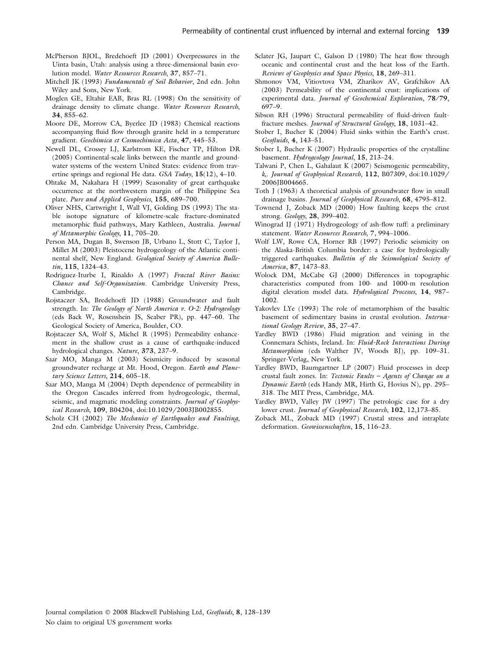- McPherson BJOL, Bredehoeft JD (2001) Overpressures in the Uinta basin, Utah: analysis using a three-dimensional basin evolution model. Water Resources Research, 37, 857–71.
- Mitchell JK (1993) Fundamentals of Soil Behavior, 2nd edn. John Wiley and Sons, New York.
- Moglen GE, Eltahir EAB, Bras RL (1998) On the sensitivity of drainage density to climate change. Water Resources Research, 34, 855–62.
- Moore DE, Morrow CA, Byerlee JD (1983) Chemical reactions accompanying fluid flow through granite held in a temperature gradient. Geochimica et Cosmochimica Acta, 47, 445–53.
- Newell DL, Crossey LJ, Karlstrom KE, Fischer TP, Hilton DR (2005) Continental-scale links between the mantle and groundwater systems of the western United States: evidence from travertine springs and regional He data. GSA Today, 15(12), 4–10.
- Ohtake M, Nakahara H (1999) Seasonality of great earthquake occurrence at the northwestern margin of the Philippine Sea plate. Pure and Applied Geophysics, 155, 689–700.
- Oliver NHS, Cartwright I, Wall VJ, Golding DS (1993) The stable isotope signature of kilometre-scale fracture-dominated metamorphic fluid pathways, Mary Kathleen, Australia. Journal of Metamorphic Geology, 11, 705–20.
- Person MA, Dugan B, Swenson JB, Urbano L, Stott C, Taylor J, Millet M (2003) Pleistocene hydrogeology of the Atlantic continental shelf, New England. Geological Society of America Bulletin, 115, 1324–43.
- Rodriguez-Iturbe I, Rinaldo A (1997) Fractal River Basins: Chance and Self-Organization. Cambridge University Press, Cambridge.
- Rojstaczer SA, Bredehoeft JD (1988) Groundwater and fault strength. In: The Geology of North America v. O-2: Hydrogeology (eds Back W, Rosenshein JS, Seaber PR), pp. 447–60. The Geological Society of America, Boulder, CO.
- Rojstaczer SA, Wolf S, Michel R (1995) Permeability enhancement in the shallow crust as a cause of earthquake-induced hydrological changes. Nature, 373, 237–9.
- Saar MO, Manga M (2003) Seismicity induced by seasonal groundwater recharge at Mt. Hood, Oregon. Earth and Planetary Science Letters, 214, 605-18.
- Saar MO, Manga M (2004) Depth dependence of permeability in the Oregon Cascades inferred from hydrogeologic, thermal, seismic, and magmatic modeling constraints. Journal of Geophysical Research, 109, B04204, doi:10.1029/2003JB002855.
- Scholz CH (2002) The Mechanics of Earthquakes and Faulting, 2nd edn. Cambridge University Press, Cambridge.
- Sclater JG, Jaupart C, Galson D (1980) The heat flow through oceanic and continental crust and the heat loss of the Earth. Reviews of Geophysics and Space Physics, 18, 269–311.
- Shmonov VM, Vitiovtova VM, Zharikov AV, Grafchikov AA (2003) Permeability of the continental crust: implications of experimental data. Journal of Geochemical Exploration, 78/79, 697–9.
- Sibson RH (1996) Structural permeability of fluid-driven faultfracture meshes. Journal of Structural Geology, 18, 1031–42.
- Stober I, Bucher K (2004) Fluid sinks within the Earth's crust. Geofluids, 4, 143–51.
- Stober I, Bucher K (2007) Hydraulic properties of the crystalline basement. Hydrogeology Journal, 15, 213–24.
- Talwani P, Chen L, Gahalaut K (2007) Seismogenic permeability, ks. Journal of Geophysical Research, 112, B07309, doi:10.1029/ 2006JB004665.
- Toth J (1963) A theoretical analysis of groundwater flow in small drainage basins. Journal of Geophysical Research, 68, 4795–812.
- Townend J, Zoback MD (2000) How faulting keeps the crust strong. Geology, 28, 399-402.
- Winograd IJ (1971) Hydrogeology of ash-flow tuff: a preliminary statement. Water Resources Research, 7, 994-1006.
- Wolf LW, Rowe CA, Horner RB (1997) Periodic seismicity on the Alaska-British Columbia border: a case for hydrologically triggered earthquakes. Bulletin of the Seismological Society of America, 87, 1473–83.
- Wolock DM, McCabe GJ (2000) Differences in topographic characteristics computed from 100- and 1000-m resolution digital elevation model data. Hydrological Processes, 14, 987– 1002.
- Yakovlev LYe (1993) The role of metamorphism of the basaltic basement of sedimentary basins in crustal evolution. International Geology Review, 35, 27–47.
- Yardley BWD (1986) Fluid migration and veining in the Connemara Schists, Ireland. In: Fluid-Rock Interactions During Metamorphism (eds Walther JV, Woods BJ), pp. 109–31. Springer-Verlag, New York.
- Yardley BWD, Baumgartner LP (2007) Fluid processes in deep crustal fault zones. In: Tectonic Faults – Agents of Change on a Dynamic Earth (eds Handy MR, Hirth G, Hovius N), pp. 295– 318. The MIT Press, Cambridge, MA.
- Yardley BWD, Valley JW (1997) The petrologic case for a dry lower crust. Journal of Geophysical Research, 102, 12,173–85.
- Zoback ML, Zoback MD (1997) Crustal stress and intraplate deformation. Geowissenschaften, 15, 116–23.